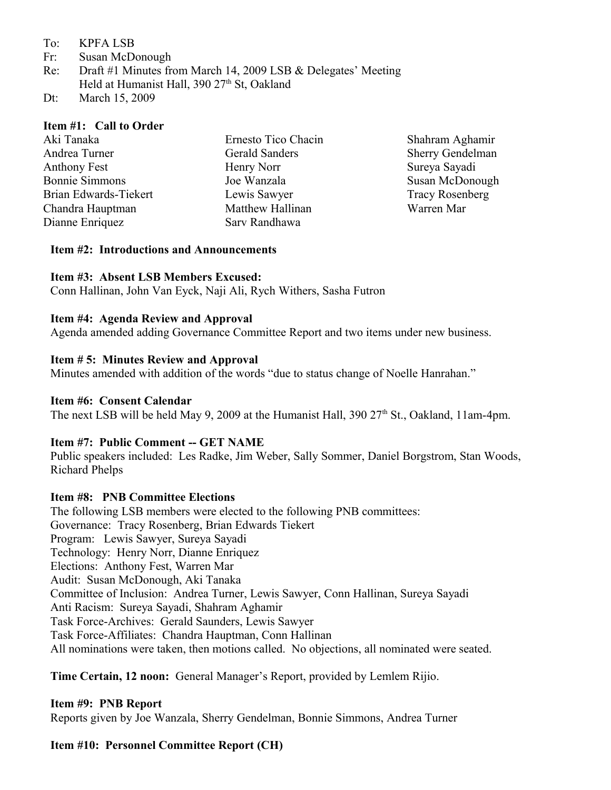- To: KPFA LSB
- Fr: Susan McDonough
- Re: Draft #1 Minutes from March 14, 2009 LSB & Delegates' Meeting Held at Humanist Hall,  $390\ 27<sup>th</sup>$  St, Oakland
- Dt: March 15, 2009

### **Item #1: Call to Order**

| Sherry Gendelman |
|------------------|
| Sureya Sayadi    |
| Susan McDonough  |
| Tracy Rosenberg  |
| Warren Mar       |
|                  |

#### **Item #2: Introductions and Announcements**

### **Item #3: Absent LSB Members Excused:**

Conn Hallinan, John Van Eyck, Naji Ali, Rych Withers, Sasha Futron

#### **Item #4: Agenda Review and Approval**

Agenda amended adding Governance Committee Report and two items under new business.

### **Item # 5: Minutes Review and Approval**

Minutes amended with addition of the words "due to status change of Noelle Hanrahan."

### **Item #6: Consent Calendar**

The next LSB will be held May 9, 2009 at the Humanist Hall, 390  $27<sup>th</sup>$  St., Oakland, 11am-4pm.

#### **Item #7: Public Comment -- GET NAME**

Public speakers included: Les Radke, Jim Weber, Sally Sommer, Daniel Borgstrom, Stan Woods, Richard Phelps

#### **Item #8: PNB Committee Elections**

The following LSB members were elected to the following PNB committees: Governance: Tracy Rosenberg, Brian Edwards Tiekert Program: Lewis Sawyer, Sureya Sayadi Technology: Henry Norr, Dianne Enriquez Elections: Anthony Fest, Warren Mar Audit: Susan McDonough, Aki Tanaka Committee of Inclusion: Andrea Turner, Lewis Sawyer, Conn Hallinan, Sureya Sayadi Anti Racism: Sureya Sayadi, Shahram Aghamir Task Force-Archives: Gerald Saunders, Lewis Sawyer Task Force-Affiliates: Chandra Hauptman, Conn Hallinan All nominations were taken, then motions called. No objections, all nominated were seated.

**Time Certain, 12 noon:** General Manager's Report, provided by Lemlem Rijio.

#### **Item #9: PNB Report**

Reports given by Joe Wanzala, Sherry Gendelman, Bonnie Simmons, Andrea Turner

## **Item #10: Personnel Committee Report (CH)**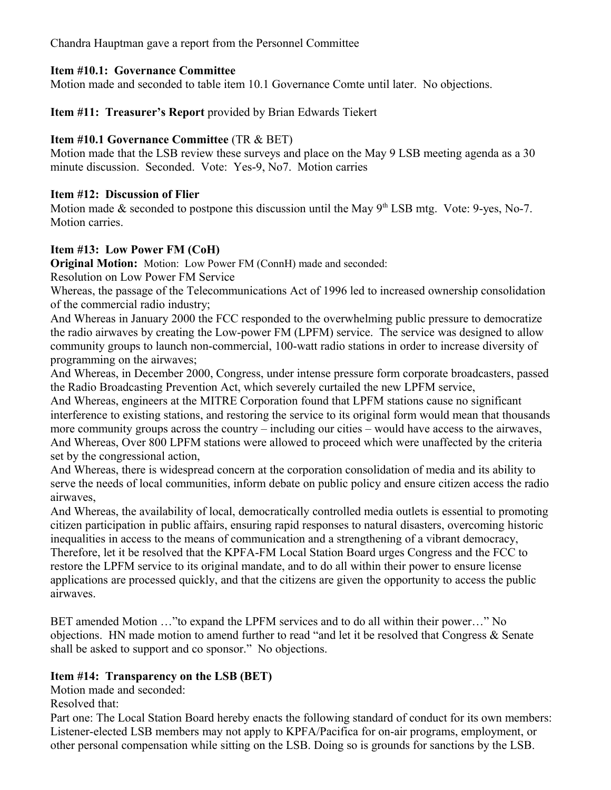Chandra Hauptman gave a report from the Personnel Committee

# **Item #10.1: Governance Committee**

Motion made and seconded to table item 10.1 Governance Comte until later. No objections.

**Item #11: Treasurer's Report** provided by Brian Edwards Tiekert

# **Item #10.1 Governance Committee** (TR & BET)

Motion made that the LSB review these surveys and place on the May 9 LSB meeting agenda as a 30 minute discussion. Seconded. Vote: Yes-9, No7. Motion carries

## **Item #12: Discussion of Flier**

Motion made  $&$  seconded to postpone this discussion until the May  $9<sup>th</sup>$  LSB mtg. Vote: 9-yes, No-7. Motion carries

## **Item #13: Low Power FM (CoH)**

**Original Motion:** Motion: Low Power FM (ConnH) made and seconded:

Resolution on Low Power FM Service

Whereas, the passage of the Telecommunications Act of 1996 led to increased ownership consolidation of the commercial radio industry;

And Whereas in January 2000 the FCC responded to the overwhelming public pressure to democratize the radio airwaves by creating the Low-power FM (LPFM) service. The service was designed to allow community groups to launch non-commercial, 100-watt radio stations in order to increase diversity of programming on the airwaves;

And Whereas, in December 2000, Congress, under intense pressure form corporate broadcasters, passed the Radio Broadcasting Prevention Act, which severely curtailed the new LPFM service,

And Whereas, engineers at the MITRE Corporation found that LPFM stations cause no significant interference to existing stations, and restoring the service to its original form would mean that thousands more community groups across the country – including our cities – would have access to the airwaves, And Whereas, Over 800 LPFM stations were allowed to proceed which were unaffected by the criteria set by the congressional action,

And Whereas, there is widespread concern at the corporation consolidation of media and its ability to serve the needs of local communities, inform debate on public policy and ensure citizen access the radio airwaves,

And Whereas, the availability of local, democratically controlled media outlets is essential to promoting citizen participation in public affairs, ensuring rapid responses to natural disasters, overcoming historic inequalities in access to the means of communication and a strengthening of a vibrant democracy, Therefore, let it be resolved that the KPFA-FM Local Station Board urges Congress and the FCC to restore the LPFM service to its original mandate, and to do all within their power to ensure license applications are processed quickly, and that the citizens are given the opportunity to access the public airwaves.

BET amended Motion …"to expand the LPFM services and to do all within their power…" No objections. HN made motion to amend further to read "and let it be resolved that Congress & Senate shall be asked to support and co sponsor." No objections.

# **Item #14: Transparency on the LSB (BET)**

Motion made and seconded:

Resolved that:

Part one: The Local Station Board hereby enacts the following standard of conduct for its own members: Listener-elected LSB members may not apply to KPFA/Pacifica for on-air programs, employment, or other personal compensation while sitting on the LSB. Doing so is grounds for sanctions by the LSB.